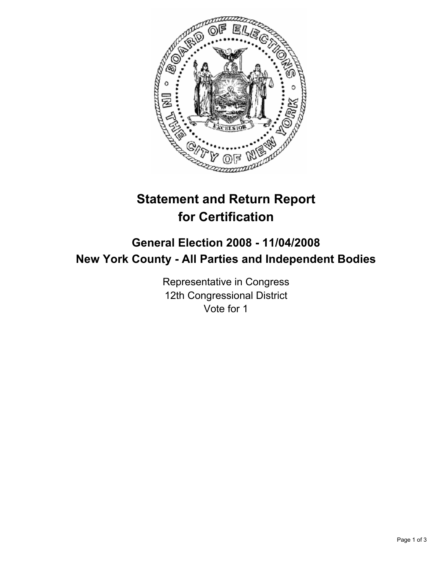

# **Statement and Return Report for Certification**

## **General Election 2008 - 11/04/2008 New York County - All Parties and Independent Bodies**

Representative in Congress 12th Congressional District Vote for 1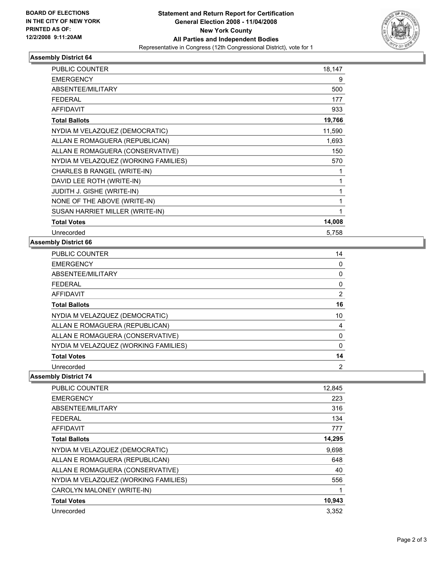

#### **Assembly District 64**

| <b>PUBLIC COUNTER</b>                | 18,147 |
|--------------------------------------|--------|
| <b>EMERGENCY</b>                     | 9      |
| ABSENTEE/MILITARY                    | 500    |
| <b>FEDERAL</b>                       | 177    |
| <b>AFFIDAVIT</b>                     | 933    |
| <b>Total Ballots</b>                 | 19,766 |
| NYDIA M VELAZQUEZ (DEMOCRATIC)       | 11,590 |
| ALLAN E ROMAGUERA (REPUBLICAN)       | 1,693  |
| ALLAN E ROMAGUERA (CONSERVATIVE)     | 150    |
| NYDIA M VELAZQUEZ (WORKING FAMILIES) | 570    |
| CHARLES B RANGEL (WRITE-IN)          |        |
| DAVID LEE ROTH (WRITE-IN)            |        |
| JUDITH J. GISHE (WRITE-IN)           |        |
| NONE OF THE ABOVE (WRITE-IN)         |        |
| SUSAN HARRIET MILLER (WRITE-IN)      |        |
| <b>Total Votes</b>                   | 14,008 |
| Unrecorded                           | 5,758  |

#### **Assembly District 66**

| <b>PUBLIC COUNTER</b>                | 14 |
|--------------------------------------|----|
| <b>EMERGENCY</b>                     |    |
| ABSENTEE/MILITARY                    |    |
| <b>FEDERAL</b>                       |    |
| AFFIDAVIT                            |    |
| <b>Total Ballots</b>                 | 16 |
| NYDIA M VELAZQUEZ (DEMOCRATIC)       | 10 |
| ALLAN E ROMAGUERA (REPUBLICAN)       |    |
| ALLAN E ROMAGUERA (CONSERVATIVE)     |    |
| NYDIA M VELAZQUEZ (WORKING FAMILIES) |    |
| <b>Total Votes</b>                   | 14 |
| Unrecorded                           | 2  |

### **Assembly District 74**

| <b>PUBLIC COUNTER</b>                | 12.845 |
|--------------------------------------|--------|
| <b>EMERGENCY</b>                     | 223    |
| ABSENTEE/MILITARY                    | 316    |
| <b>FEDERAL</b>                       | 134    |
| AFFIDAVIT                            | 777    |
| <b>Total Ballots</b>                 | 14,295 |
| NYDIA M VELAZQUEZ (DEMOCRATIC)       | 9,698  |
| ALLAN E ROMAGUERA (REPUBLICAN)       | 648    |
| ALLAN E ROMAGUERA (CONSERVATIVE)     | 40     |
| NYDIA M VELAZQUEZ (WORKING FAMILIES) | 556    |
| CAROLYN MALONEY (WRITE-IN)           |        |
| <b>Total Votes</b>                   | 10,943 |
| Unrecorded                           | 3,352  |